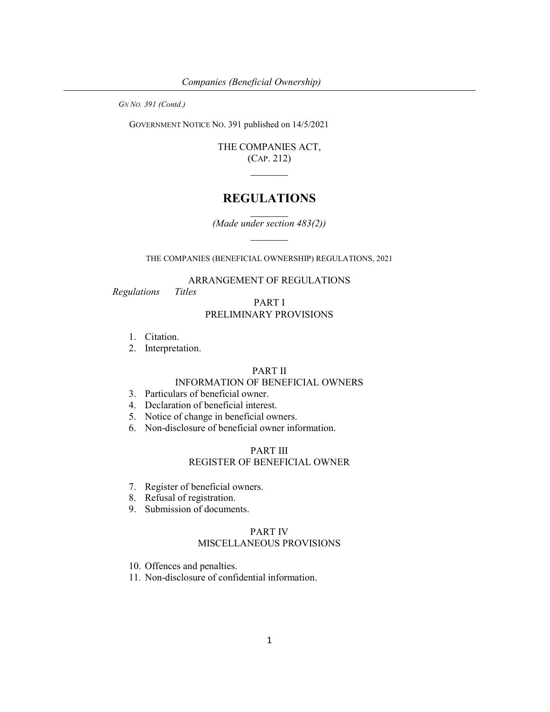GOVERNMENT NOTICE NO. 391 published on 14/5/2021

THE COMPANIES ACT, (CAP. 212)  $\mathcal{L}=\mathcal{L}$ 

# REGULATIONS

(Made under section 483(2))

THE COMPANIES (BENEFICIAL OWNERSHIP) REGULATIONS, 2021

### ARRANGEMENT OF REGULATIONS

Regulations Titles

## PART I PRELIMINARY PROVISIONS

- 1. Citation.
- 2. Interpretation.

### PART II

### INFORMATION OF BENEFICIAL OWNERS

- 3. Particulars of beneficial owner.
- 4. Declaration of beneficial interest.
- 5. Notice of change in beneficial owners.
- 6. Non-disclosure of beneficial owner information.

# PART III

### REGISTER OF BENEFICIAL OWNER

- 7. Register of beneficial owners.
- 8. Refusal of registration.
- 9. Submission of documents.

#### PART IV MISCELLANEOUS PROVISIONS

10. Offences and penalties.

11. Non-disclosure of confidential information.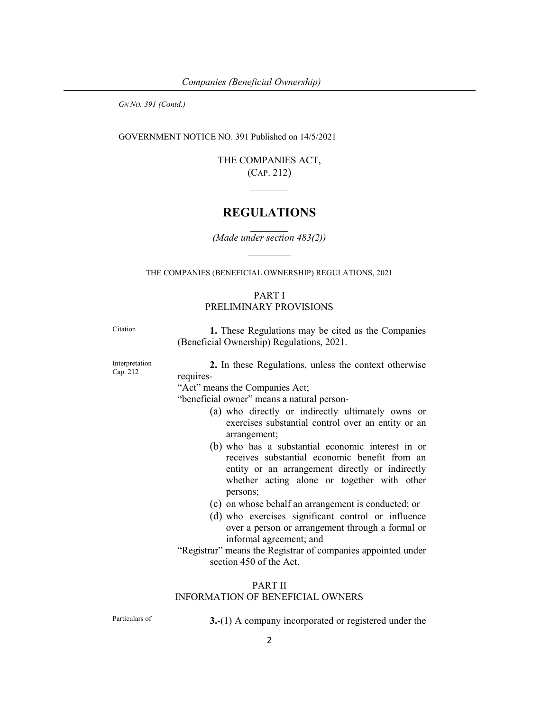GOVERNMENT NOTICE NO. 391 Published on 14/5/2021

THE COMPANIES ACT, (CAP. 212)

# REGULATIONS

(Made under section 483(2))

THE COMPANIES (BENEFICIAL OWNERSHIP) REGULATIONS, 2021

# PART I PRELIMINARY PROVISIONS

Citation 1. These Regulations may be cited as the Companies (Beneficial Ownership) Regulations, 2021.

Interpretation Cap. 212

2. In these Regulations, unless the context otherwise requires-

"Act" means the Companies Act;

"beneficial owner" means a natural person-

- (a) who directly or indirectly ultimately owns or exercises substantial control over an entity or an arrangement;
- (b) who has a substantial economic interest in or receives substantial economic benefit from an entity or an arrangement directly or indirectly whether acting alone or together with other persons;
- (c) on whose behalf an arrangement is conducted; or
- (d) who exercises significant control or influence over a person or arrangement through a formal or informal agreement; and
- "Registrar" means the Registrar of companies appointed under section 450 of the Act.

#### PART II

### INFORMATION OF BENEFICIAL OWNERS

Particulars of 3.-(1) A company incorporated or registered under the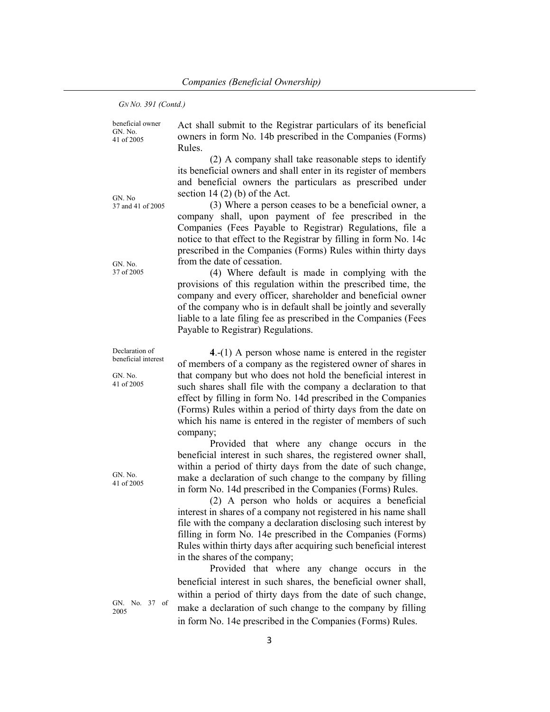beneficial owner GN. No. 41 of 2005

Act shall submit to the Registrar particulars of its beneficial owners in form No. 14b prescribed in the Companies (Forms) Rules.

 (2) A company shall take reasonable steps to identify its beneficial owners and shall enter in its register of members and beneficial owners the particulars as prescribed under section  $14(2)$  (b) of the Act.

 (3) Where a person ceases to be a beneficial owner, a company shall, upon payment of fee prescribed in the Companies (Fees Payable to Registrar) Regulations, file a notice to that effect to the Registrar by filling in form No. 14c prescribed in the Companies (Forms) Rules within thirty days from the date of cessation.

 (4) Where default is made in complying with the provisions of this regulation within the prescribed time, the company and every officer, shareholder and beneficial owner of the company who is in default shall be jointly and severally liable to a late filing fee as prescribed in the Companies (Fees Payable to Registrar) Regulations.

4.-(1) A person whose name is entered in the register of members of a company as the registered owner of shares in that company but who does not hold the beneficial interest in such shares shall file with the company a declaration to that effect by filling in form No. 14d prescribed in the Companies (Forms) Rules within a period of thirty days from the date on which his name is entered in the register of members of such company;

 Provided that where any change occurs in the beneficial interest in such shares, the registered owner shall, within a period of thirty days from the date of such change, make a declaration of such change to the company by filling in form No. 14d prescribed in the Companies (Forms) Rules.

(2) A person who holds or acquires a beneficial interest in shares of a company not registered in his name shall file with the company a declaration disclosing such interest by filling in form No. 14e prescribed in the Companies (Forms) Rules within thirty days after acquiring such beneficial interest in the shares of the company;

Provided that where any change occurs in the beneficial interest in such shares, the beneficial owner shall, within a period of thirty days from the date of such change, make a declaration of such change to the company by filling in form No. 14e prescribed in the Companies (Forms) Rules.

GN. No 37 and 41 of 2005

GN. No. 37 of 2005

Declaration of beneficial interest

GN. No. 41 of 2005

GN. No. 41 of 2005

GN. No. 37 of 2005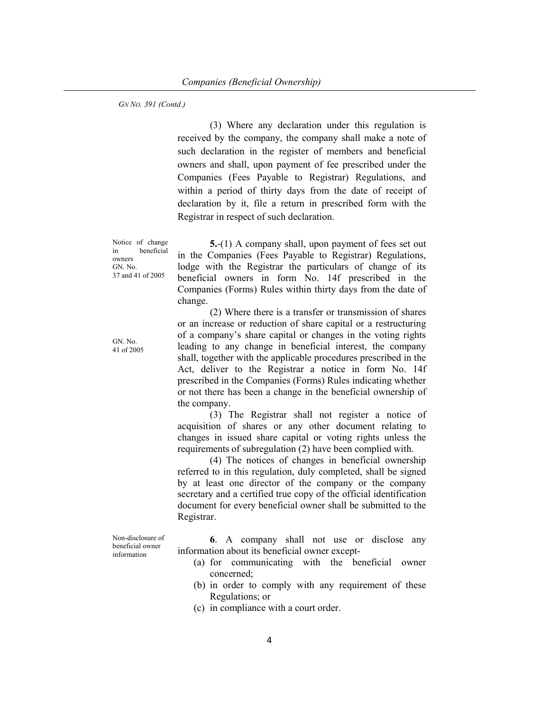(3) Where any declaration under this regulation is received by the company, the company shall make a note of such declaration in the register of members and beneficial owners and shall, upon payment of fee prescribed under the Companies (Fees Payable to Registrar) Regulations, and within a period of thirty days from the date of receipt of declaration by it, file a return in prescribed form with the Registrar in respect of such declaration.

Notice of change in beneficial owners GN. No. 37 and 41 of 2005

5.-(1) A company shall, upon payment of fees set out in the Companies (Fees Payable to Registrar) Regulations, lodge with the Registrar the particulars of change of its beneficial owners in form No. 14f prescribed in the Companies (Forms) Rules within thirty days from the date of change.

 (2) Where there is a transfer or transmission of shares or an increase or reduction of share capital or a restructuring of a company's share capital or changes in the voting rights leading to any change in beneficial interest, the company shall, together with the applicable procedures prescribed in the Act, deliver to the Registrar a notice in form No. 14f prescribed in the Companies (Forms) Rules indicating whether or not there has been a change in the beneficial ownership of the company.

(3) The Registrar shall not register a notice of acquisition of shares or any other document relating to changes in issued share capital or voting rights unless the requirements of subregulation (2) have been complied with.

(4) The notices of changes in beneficial ownership referred to in this regulation, duly completed, shall be signed by at least one director of the company or the company secretary and a certified true copy of the official identification document for every beneficial owner shall be submitted to the Registrar.

6. A company shall not use or disclose any information about its beneficial owner except-

- (a) for communicating with the beneficial owner concerned;
- (b) in order to comply with any requirement of these Regulations; or
- (c) in compliance with a court order.

GN. No. 41 of 2005

beneficial owner information

Non-disclosure of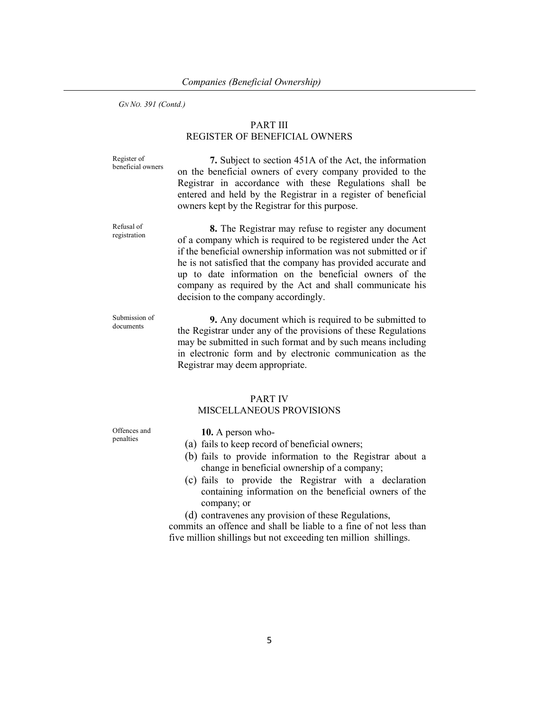### PART III REGISTER OF BENEFICIAL OWNERS

Register of beneficial owners

7. Subject to section 451A of the Act, the information on the beneficial owners of every company provided to the Registrar in accordance with these Regulations shall be entered and held by the Registrar in a register of beneficial owners kept by the Registrar for this purpose.

Refusal of registration

8. The Registrar may refuse to register any document of a company which is required to be registered under the Act if the beneficial ownership information was not submitted or if he is not satisfied that the company has provided accurate and up to date information on the beneficial owners of the company as required by the Act and shall communicate his decision to the company accordingly.

Submission of documents

9. Any document which is required to be submitted to the Registrar under any of the provisions of these Regulations may be submitted in such format and by such means including in electronic form and by electronic communication as the Registrar may deem appropriate.

# PART IV

### MISCELLANEOUS PROVISIONS

Offences and penalties

10. A person who-

- (a) fails to keep record of beneficial owners;
- (b) fails to provide information to the Registrar about a change in beneficial ownership of a company;
- (c) fails to provide the Registrar with a declaration containing information on the beneficial owners of the company; or
- (d) contravenes any provision of these Regulations,

commits an offence and shall be liable to a fine of not less than five million shillings but not exceeding ten million shillings.